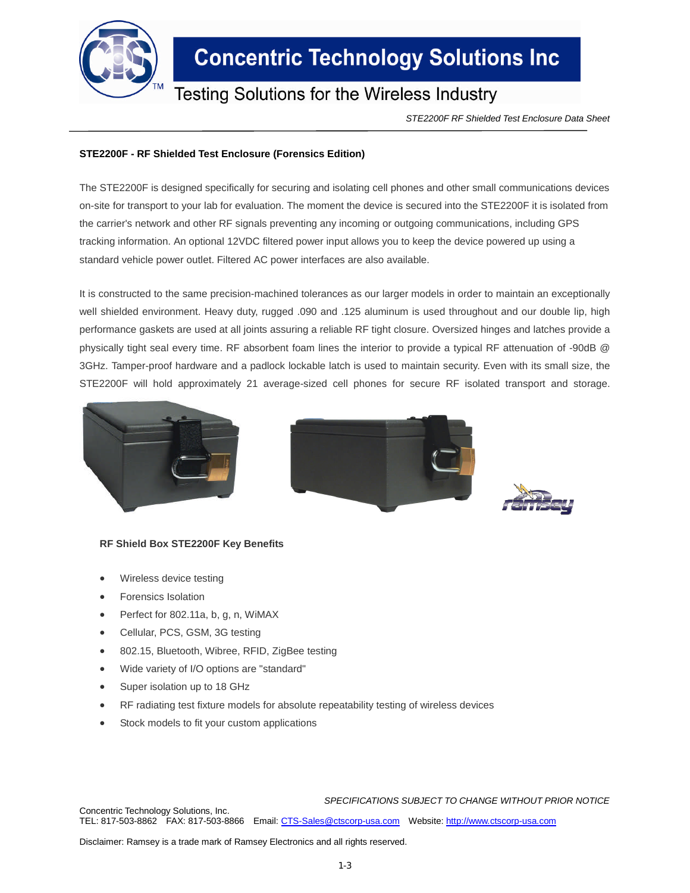

# **Concentric Technology Solutions Inc**

### Testing Solutions for the Wireless Industry

*STE2200F RF Shielded Test Enclosure Data Sheet*

### **STE2200F - RF Shielded Test Enclosure (Forensics Edition)**

The STE2200F is designed specifically for securing and isolating cell phones and other small communications devices on-site for transport to your lab for evaluation. The moment the device is secured into the STE2200F it is isolated from the carrier's network and other RF signals preventing any incoming or outgoing communications, including GPS tracking information. An optional 12VDC filtered power input allows you to keep the device powered up using a standard vehicle power outlet. Filtered AC power interfaces are also available.

It is constructed to the same precision-machined tolerances as our larger models in order to maintain an exceptionally well shielded environment. Heavy duty, rugged .090 and .125 aluminum is used throughout and our double lip, high performance gaskets are used at all joints assuring a reliable RF tight closure. Oversized hinges and latches provide a physically tight seal every time. RF absorbent foam lines the interior to provide a typical RF attenuation of -90dB @ 3GHz. Tamper-proof hardware and a padlock lockable latch is used to maintain security. Even with its small size, the STE2200F will hold approximately 21 average-sized cell phones for secure RF isolated transport and storage.







#### **RF Shield Box STE2200F Key Benefits**

- Wireless device testing
- Forensics Isolation
- Perfect for 802.11a, b, g, n, WiMAX
- Cellular, PCS, GSM, 3G testing
- 802.15, Bluetooth, Wibree, RFID, ZigBee testing
- Wide variety of I/O options are "standard"
- Super isolation up to 18 GHz
- RF radiating test fixture models for absolute repeatability testing of wireless devices
- Stock models to fit your custom applications

#### *SPECIFICATIONS SUBJECT TO CHANGE WITHOUT PRIOR NOTICE*

Concentric Technology Solutions, Inc. TEL: 817-503-8862 FAX: 817-503-8866 Email: CTS-Sales@ctscorp-usa.com Website: http://www.ctscorp-usa.com

Disclaimer: Ramsey is a trade mark of Ramsey Electronics and all rights reserved.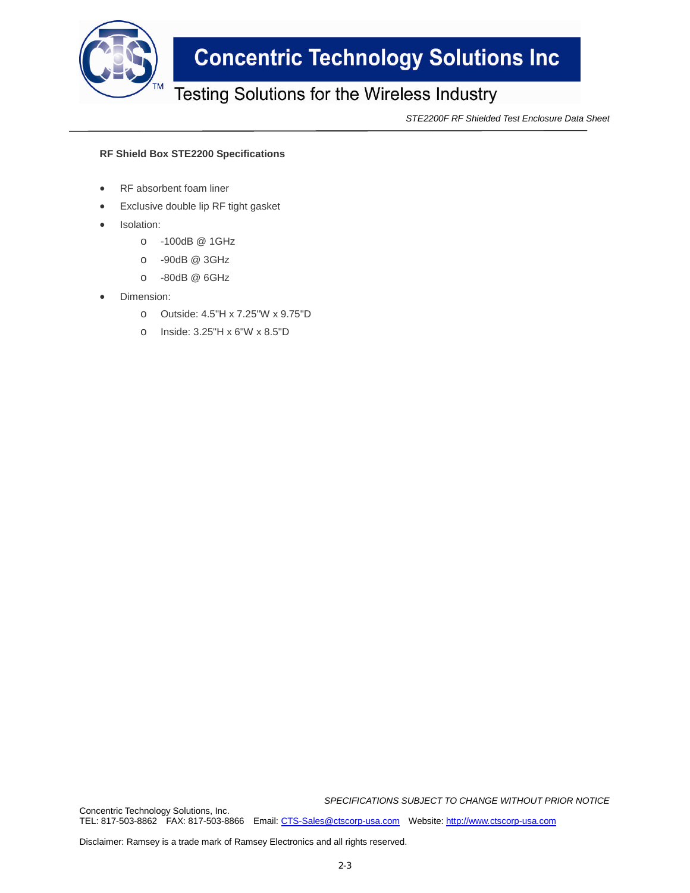

# **Concentric Technology Solutions Inc**

## Testing Solutions for the Wireless Industry

*STE2200F RF Shielded Test Enclosure Data Sheet*

### **RF Shield Box STE2200 Specifications**

- RF absorbent foam liner
- Exclusive double lip RF tight gasket
- Isolation:
	- o -100dB @ 1GHz
	- o -90dB @ 3GHz
	- o -80dB @ 6GHz
- Dimension:
	- o Outside: 4.5"H x 7.25"W x 9.75"D
	- o Inside: 3.25"H x 6"W x 8.5"D